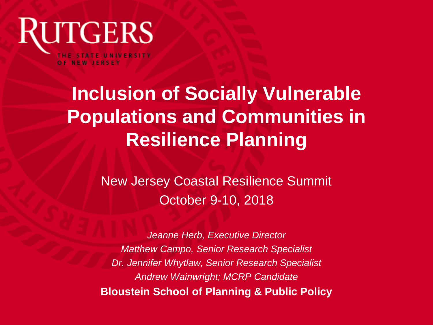

## **Inclusion of Socially Vulnerable Populations and Communities in Resilience Planning**

New Jersey Coastal Resilience Summit October 9-10, 2018

*Jeanne Herb, Executive Director Matthew Campo, Senior Research Specialist Dr. Jennifer Whytlaw, Senior Research Specialist Andrew Wainwright; MCRP Candidate* **Bloustein School of Planning & Public Policy**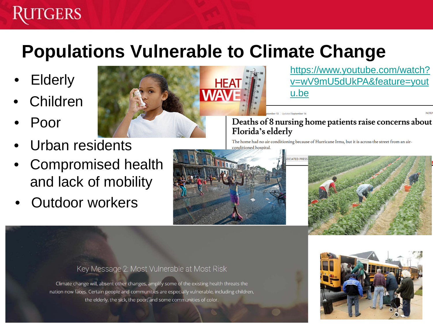### **UTGERS**

## **Populations Vulnerable to Climate Change**

- **Elderly**
- **Children**
- Poor
- Urban residents
- Compromised health and lack of mobility
- **Outdoor workers**



https://www.youtube.com/watch? [v=wV9mU5dUkPA&feature=yout](https://www.youtube.com/watch?v=wV9mU5dUkPA&feature=youtu.be) u.be

Deaths of 8 nursing home patients raise concerns about Florida's elderly

The home had no air conditioning because of Hurricane Irma, but it is across the street from an airconditioned hospital.

er 13 | Hodstod Sontamber 1





#### Key Message 2: Most Vulnerable at Most Risk

Climate change will, absent other changes, amplify some of the existing health threats the nation now faces. Certain people and communities are especially vulnerable, including children, the elderly, the sick, the poor, and some communities of color.

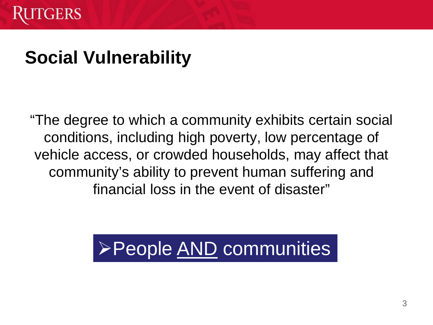## **Social Vulnerability**

"The degree to which a community exhibits certain social conditions, including high poverty, low percentage of vehicle access, or crowded households, may affect that community's ability to prevent human suffering and financial loss in the event of disaster"

# **≻People AND communities**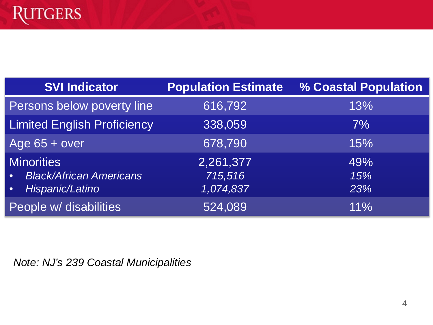| <b>SVI Indicator</b>                                                                             | <b>Population Estimate</b>        | % Coastal Population |
|--------------------------------------------------------------------------------------------------|-----------------------------------|----------------------|
| Persons below poverty line                                                                       | 616,792                           | 13%                  |
| <b>Limited English Proficiency</b>                                                               | 338,059                           | $7\%$                |
| Age $65 + over$                                                                                  | 678,790                           | 15%                  |
| <b>Minorities</b><br><b>Black/African Americans</b><br>$\bullet$<br>Hispanic/Latino<br>$\bullet$ | 2,261,377<br>715,516<br>1,074,837 | 49%<br>15%<br>23%    |
| People w/ disabilities                                                                           | 524,089                           | 11%                  |

*Note: NJ's 239 Coastal Municipalities*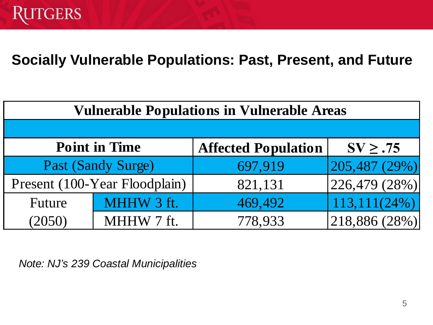#### **Socially Vulnerable Populations: Past, Present, and Future**

| <b>Vulnerable Populations in Vulnerable Areas</b> |                               |                            |                                   |  |  |
|---------------------------------------------------|-------------------------------|----------------------------|-----------------------------------|--|--|
|                                                   |                               |                            |                                   |  |  |
| <b>Point in Time</b>                              |                               | <b>Affected Population</b> | $SV \geq .75$                     |  |  |
| Past (Sandy Surge)                                |                               | 697,919                    | 205,487(29%)                      |  |  |
|                                                   | Present (100-Year Floodplain) | 821,131                    | $\left  226,479 \ (28\%) \right $ |  |  |
| Future                                            | MHHW 3 ft.                    | 469,492                    | $113,111(24\%)$                   |  |  |
| (2050)                                            | MHHW 7 ft.                    | 778,933                    | 218,886 (28%)                     |  |  |

*Note: NJ's 239 Coastal Municipalities*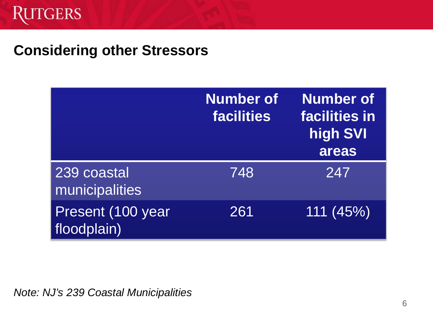#### **Considering other Stressors**

|                                  | <b>Number of</b><br><b>facilities</b> | <b>Number of</b><br>facilities in<br>high SVI<br>areas |
|----------------------------------|---------------------------------------|--------------------------------------------------------|
| 239 coastal<br>municipalities    | 748                                   | 247                                                    |
| Present (100 year<br>floodplain) | 261                                   | 111(45%)                                               |

*Note: NJ's 239 Coastal Municipalities*